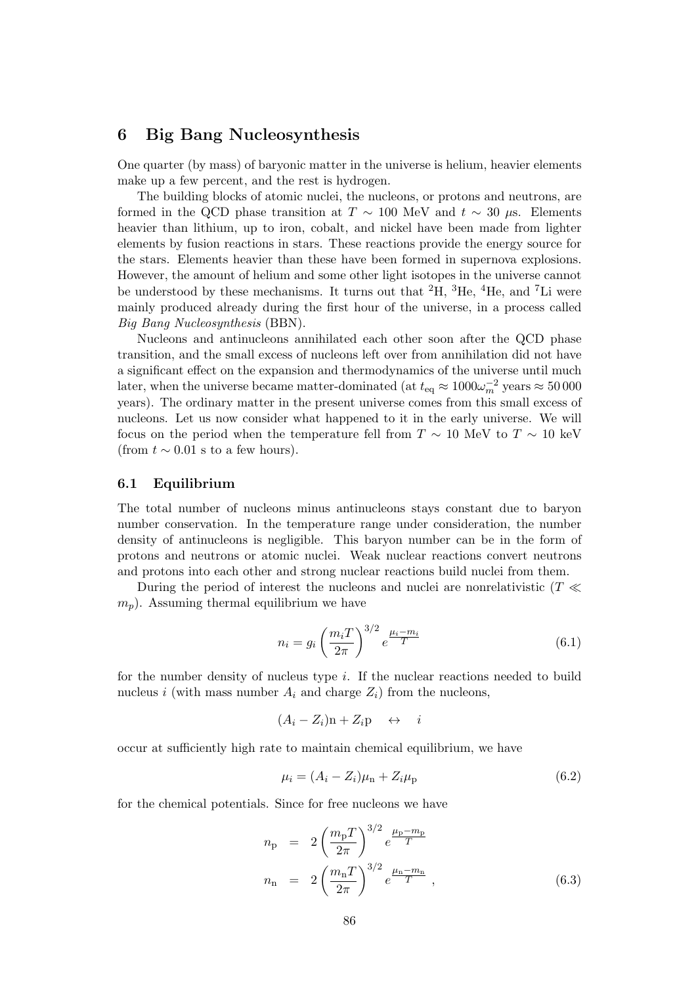# 6 Big Bang Nucleosynthesis

One quarter (by mass) of baryonic matter in the universe is helium, heavier elements make up a few percent, and the rest is hydrogen.

The building blocks of atomic nuclei, the nucleons, or protons and neutrons, are formed in the QCD phase transition at  $T \sim 100$  MeV and  $t \sim 30 \mu$ s. Elements heavier than lithium, up to iron, cobalt, and nickel have been made from lighter elements by fusion reactions in stars. These reactions provide the energy source for the stars. Elements heavier than these have been formed in supernova explosions. However, the amount of helium and some other light isotopes in the universe cannot be understood by these mechanisms. It turns out that  ${}^{2}H$ ,  ${}^{3}He$ ,  ${}^{4}He$ , and  ${}^{7}Li$  were mainly produced already during the first hour of the universe, in a process called Big Bang Nucleosynthesis (BBN).

Nucleons and antinucleons annihilated each other soon after the QCD phase transition, and the small excess of nucleons left over from annihilation did not have a significant effect on the expansion and thermodynamics of the universe until much later, when the universe became matter-dominated (at  $t_{\rm eq} \approx 1000 \omega_m^{-2}$  years  $\approx 50000$ years). The ordinary matter in the present universe comes from this small excess of nucleons. Let us now consider what happened to it in the early universe. We will focus on the period when the temperature fell from  $T \sim 10$  MeV to  $T \sim 10$  keV (from  $t \sim 0.01$  s to a few hours).

## 6.1 Equilibrium

The total number of nucleons minus antinucleons stays constant due to baryon number conservation. In the temperature range under consideration, the number density of antinucleons is negligible. This baryon number can be in the form of protons and neutrons or atomic nuclei. Weak nuclear reactions convert neutrons and protons into each other and strong nuclear reactions build nuclei from them.

During the period of interest the nucleons and nuclei are nonrelativistic ( $T \ll$  $m_p$ ). Assuming thermal equilibrium we have

$$
n_i = g_i \left(\frac{m_i T}{2\pi}\right)^{3/2} e^{\frac{\mu_i - m_i}{T}}
$$
(6.1)

for the number density of nucleus type  $i$ . If the nuclear reactions needed to build nucleus i (with mass number  $A_i$  and charge  $Z_i$ ) from the nucleons,

$$
(A_i - Z_i)\mathbf{n} + Z_i \mathbf{p} \quad \leftrightarrow \quad i
$$

occur at sufficiently high rate to maintain chemical equilibrium, we have

$$
\mu_i = (A_i - Z_i)\mu_{n} + Z_i\mu_{p}
$$
\n(6.2)

for the chemical potentials. Since for free nucleons we have

$$
n_{\rm p} = 2 \left(\frac{m_{\rm p} T}{2\pi}\right)^{3/2} e^{\frac{\mu_{\rm p} - m_{\rm p}}{T}}
$$
  

$$
n_{\rm n} = 2 \left(\frac{m_{\rm n} T}{2\pi}\right)^{3/2} e^{\frac{\mu_{\rm n} - m_{\rm n}}{T}}, \qquad (6.3)
$$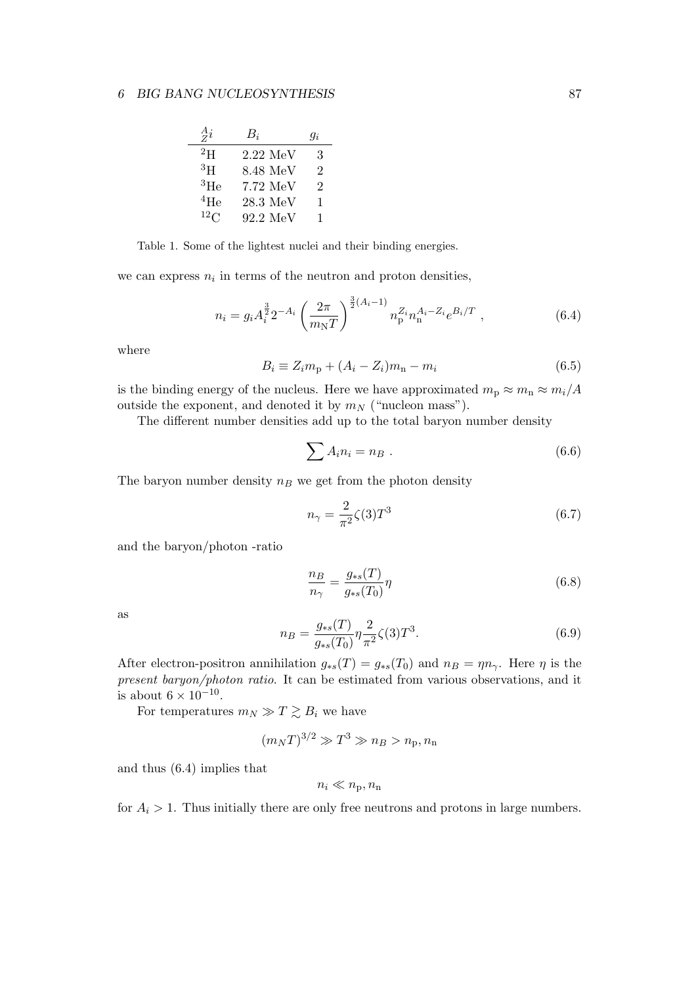| $\frac{A}{Z}i$ | $B_i$                | $q_i$ |
|----------------|----------------------|-------|
| $^{2}$ H       | $2.22\;\mathrm{MeV}$ | 3     |
| ${}^{3}H$      | 8.48 MeV             | 2     |
| ${}^{3}$ He    | 7.72 MeV             | 2     |
| 4He            | $28.3~\mathrm{MeV}$  | 1     |
| $^{12}$ C      | 92.2 MeV             | 1     |

Table 1. Some of the lightest nuclei and their binding energies.

we can express  $n_i$  in terms of the neutron and proton densities,

$$
n_i = g_i A_i^{\frac{3}{2}} 2^{-A_i} \left(\frac{2\pi}{m_{\rm N}T}\right)^{\frac{3}{2}(A_i-1)} n_{\rm p}^{Z_i} n_{\rm n}^{A_i - Z_i} e^{B_i/T} , \qquad (6.4)
$$

where

$$
B_i \equiv Z_i m_{\rm p} + (A_i - Z_i) m_{\rm n} - m_i \tag{6.5}
$$

is the binding energy of the nucleus. Here we have approximated  $m_p \approx m_n \approx m_i/A$ outside the exponent, and denoted it by  $m_N$  ("nucleon mass").

The different number densities add up to the total baryon number density

$$
\sum A_i n_i = n_B . \t\t(6.6)
$$

The baryon number density  $n_B$  we get from the photon density

$$
n_{\gamma} = \frac{2}{\pi^2} \zeta(3) T^3 \tag{6.7}
$$

and the baryon/photon -ratio

$$
\frac{n_B}{n_\gamma} = \frac{g_{*s}(T)}{g_{*s}(T_0)}\eta\tag{6.8}
$$

as

$$
n_B = \frac{g_{*s}(T)}{g_{*s}(T_0)} \eta \frac{2}{\pi^2} \zeta(3) T^3.
$$
\n(6.9)

After electron-positron annihilation  $g_{*s}(T) = g_{*s}(T_0)$  and  $n_B = \eta n_\gamma$ . Here  $\eta$  is the present baryon/photon ratio. It can be estimated from various observations, and it is about  $6 \times 10^{-10}$ .

For temperatures  $m_N \gg T \gtrsim B_i$  we have

$$
(m_N T)^{3/2} \gg T^3 \gg n_B > n_p, n_n
$$

and thus (6.4) implies that

$$
n_i \ll n_{\rm p}, n_{\rm n}
$$

for  $A_i > 1$ . Thus initially there are only free neutrons and protons in large numbers.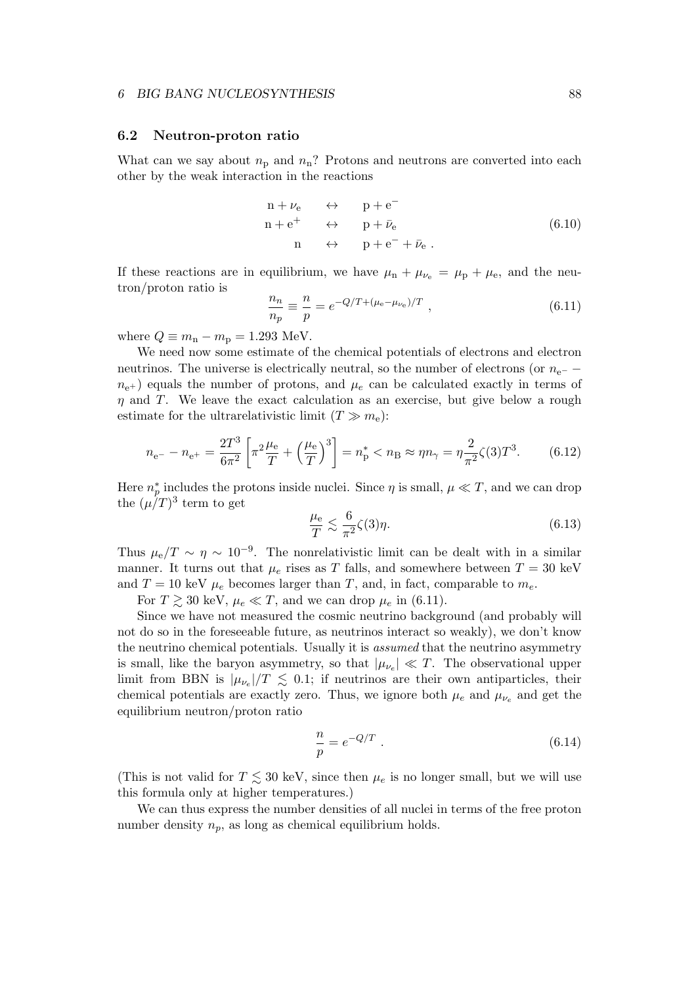## 6.2 Neutron-proton ratio

What can we say about  $n_p$  and  $n_n$ ? Protons and neutrons are converted into each other by the weak interaction in the reactions

$$
n + \nu_e \leftrightarrow p + e^-
$$
  
\n
$$
n + e^+ \leftrightarrow p + \bar{\nu}_e
$$
  
\n
$$
n \leftrightarrow p + e^- + \bar{\nu}_e.
$$
  
\n(6.10)

If these reactions are in equilibrium, we have  $\mu_n + \mu_{\nu_e} = \mu_p + \mu_e$ , and the neutron/proton ratio is

$$
\frac{n_n}{n_p} \equiv \frac{n}{p} = e^{-Q/T + (\mu_e - \mu_{\nu_e})/T} \;, \tag{6.11}
$$

where  $Q \equiv m_{\rm n} - m_{\rm p} = 1.293$  MeV.

We need now some estimate of the chemical potentials of electrons and electron neutrinos. The universe is electrically neutral, so the number of electrons (or  $n_{e^-}$  −  $n_{e+}$ ) equals the number of protons, and  $\mu_e$  can be calculated exactly in terms of  $\eta$  and T. We leave the exact calculation as an exercise, but give below a rough estimate for the ultrarelativistic limit  $(T \gg m_e)$ :

$$
n_{\rm e^{-}} - n_{\rm e^{+}} = \frac{2T^3}{6\pi^2} \left[ \pi^2 \frac{\mu_{\rm e}}{T} + \left(\frac{\mu_{\rm e}}{T}\right)^3 \right] = n_{\rm p}^* < n_{\rm B} \approx \eta n_{\gamma} = \eta \frac{2}{\pi^2} \zeta(3) T^3. \tag{6.12}
$$

Here  $n_p^*$ \* includes the protons inside nuclei. Since  $\eta$  is small,  $\mu \ll T$ , and we can drop the  $(\mu/T)^3$  term to get

$$
\frac{\mu_{\rm e}}{T} \lesssim \frac{6}{\pi^2} \zeta(3)\eta. \tag{6.13}
$$

Thus  $\mu_{\rm e}/T \sim \eta \sim 10^{-9}$ . The nonrelativistic limit can be dealt with in a similar manner. It turns out that  $\mu_e$  rises as T falls, and somewhere between  $T = 30 \text{ keV}$ and  $T = 10$  keV  $\mu_e$  becomes larger than T, and, in fact, comparable to  $m_e$ .

For  $T \gtrsim 30$  keV,  $\mu_e \ll T$ , and we can drop  $\mu_e$  in (6.11).

Since we have not measured the cosmic neutrino background (and probably will not do so in the foreseeable future, as neutrinos interact so weakly), we don't know the neutrino chemical potentials. Usually it is assumed that the neutrino asymmetry is small, like the baryon asymmetry, so that  $|\mu_{\nu_e}| \ll T$ . The observational upper limit from BBN is  $|\mu_{\nu_e}|/T \leq 0.1$ ; if neutrinos are their own antiparticles, their chemical potentials are exactly zero. Thus, we ignore both  $\mu_e$  and  $\mu_{\nu_e}$  and get the equilibrium neutron/proton ratio

$$
\frac{n}{p} = e^{-Q/T} . \t\t(6.14)
$$

(This is not valid for  $T \lesssim 30$  keV, since then  $\mu_e$  is no longer small, but we will use this formula only at higher temperatures.)

We can thus express the number densities of all nuclei in terms of the free proton number density  $n_p$ , as long as chemical equilibrium holds.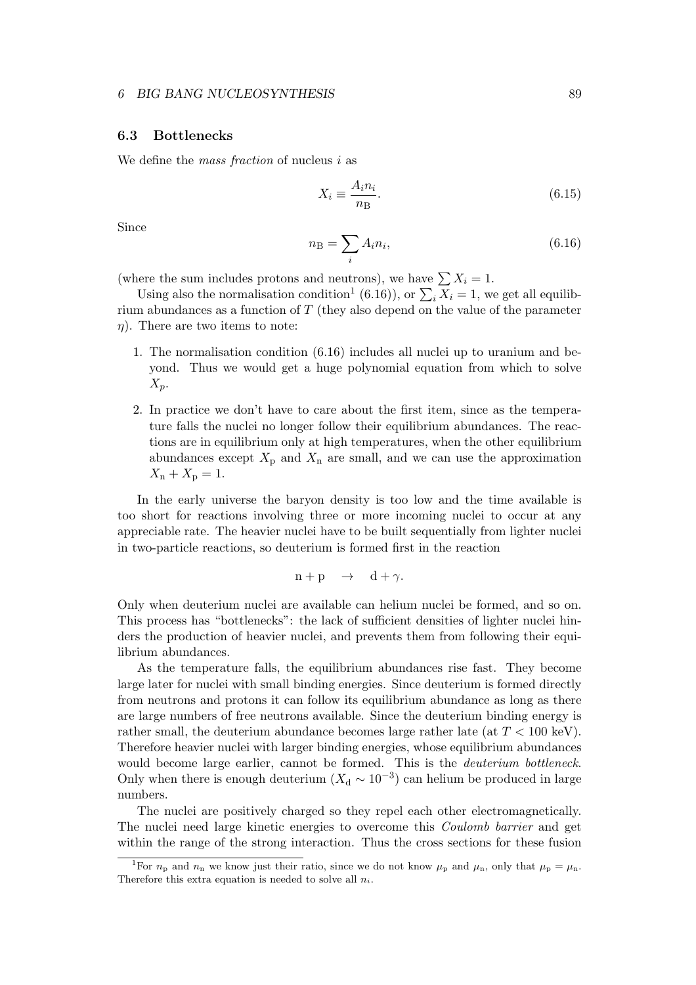## 6.3 Bottlenecks

We define the mass fraction of nucleus  $i$  as

$$
X_i \equiv \frac{A_i n_i}{n \text{B}}.\tag{6.15}
$$

Since

$$
n_{\rm B} = \sum_{i} A_i n_i,\tag{6.16}
$$

(where the sum includes protons and neutrons), we have  $\sum X_i = 1$ .

Using also the normalisation condition<sup>1</sup> (6.16)), or  $\sum_i X_i = 1$ , we get all equilibrium abundances as a function of T (they also depend on the value of the parameter  $\eta$ ). There are two items to note:

- 1. The normalisation condition (6.16) includes all nuclei up to uranium and beyond. Thus we would get a huge polynomial equation from which to solve  $X_p$ .
- 2. In practice we don't have to care about the first item, since as the temperature falls the nuclei no longer follow their equilibrium abundances. The reactions are in equilibrium only at high temperatures, when the other equilibrium abundances except  $X_p$  and  $X_n$  are small, and we can use the approximation  $X_{\rm n} + X_{\rm p} = 1.$

In the early universe the baryon density is too low and the time available is too short for reactions involving three or more incoming nuclei to occur at any appreciable rate. The heavier nuclei have to be built sequentially from lighter nuclei in two-particle reactions, so deuterium is formed first in the reaction

$$
n + p \quad \rightarrow \quad d + \gamma.
$$

Only when deuterium nuclei are available can helium nuclei be formed, and so on. This process has "bottlenecks": the lack of sufficient densities of lighter nuclei hinders the production of heavier nuclei, and prevents them from following their equilibrium abundances.

As the temperature falls, the equilibrium abundances rise fast. They become large later for nuclei with small binding energies. Since deuterium is formed directly from neutrons and protons it can follow its equilibrium abundance as long as there are large numbers of free neutrons available. Since the deuterium binding energy is rather small, the deuterium abundance becomes large rather late (at  $T < 100 \text{ keV}$ ). Therefore heavier nuclei with larger binding energies, whose equilibrium abundances would become large earlier, cannot be formed. This is the deuterium bottleneck. Only when there is enough deuterium  $(X_d \sim 10^{-3})$  can helium be produced in large numbers.

The nuclei are positively charged so they repel each other electromagnetically. The nuclei need large kinetic energies to overcome this Coulomb barrier and get within the range of the strong interaction. Thus the cross sections for these fusion

<sup>&</sup>lt;sup>1</sup>For  $n_p$  and  $n_n$  we know just their ratio, since we do not know  $\mu_p$  and  $\mu_n$ , only that  $\mu_p = \mu_n$ . Therefore this extra equation is needed to solve all  $n_i$ .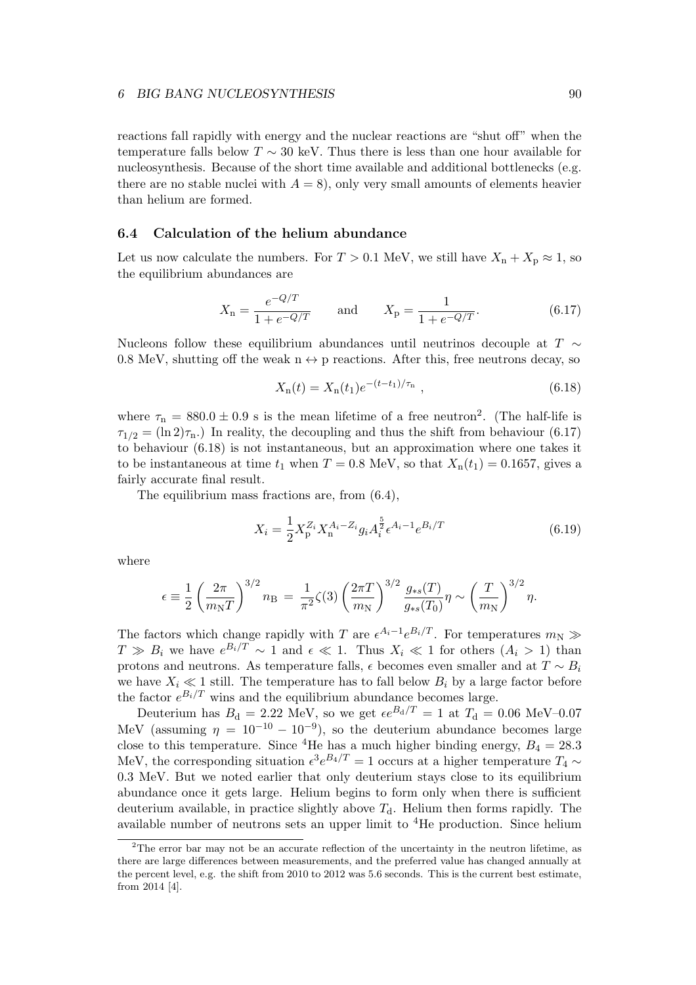reactions fall rapidly with energy and the nuclear reactions are "shut off" when the temperature falls below  $T \sim 30$  keV. Thus there is less than one hour available for nucleosynthesis. Because of the short time available and additional bottlenecks (e.g. there are no stable nuclei with  $A = 8$ , only very small amounts of elements heavier than helium are formed.

## 6.4 Calculation of the helium abundance

Let us now calculate the numbers. For  $T > 0.1$  MeV, we still have  $X_n + X_p \approx 1$ , so the equilibrium abundances are

$$
X_{\rm n} = \frac{e^{-Q/T}}{1 + e^{-Q/T}} \qquad \text{and} \qquad X_{\rm p} = \frac{1}{1 + e^{-Q/T}}.\tag{6.17}
$$

Nucleons follow these equilibrium abundances until neutrinos decouple at  $T \sim$ 0.8 MeV, shutting off the weak  $n \leftrightarrow p$  reactions. After this, free neutrons decay, so

$$
X_{n}(t) = X_{n}(t_{1})e^{-(t-t_{1})/\tau_{n}}, \qquad (6.18)
$$

where  $\tau_n = 880.0 \pm 0.9$  s is the mean lifetime of a free neutron<sup>2</sup>. (The half-life is  $\tau_{1/2} = (\ln 2)\tau_{\text{n}}$ .) In reality, the decoupling and thus the shift from behaviour (6.17) to behaviour (6.18) is not instantaneous, but an approximation where one takes it to be instantaneous at time  $t_1$  when  $T = 0.8$  MeV, so that  $X_n(t_1) = 0.1657$ , gives a fairly accurate final result.

The equilibrium mass fractions are, from (6.4),

$$
X_i = \frac{1}{2} X_p^{Z_i} X_n^{A_i - Z_i} g_i A_i^{\frac{5}{2}} \epsilon^{A_i - 1} e^{B_i/T}
$$
 (6.19)

where

$$
\epsilon = \frac{1}{2} \left( \frac{2\pi}{m_{\rm N}T} \right)^{3/2} n_{\rm B} = \frac{1}{\pi^2} \zeta(3) \left( \frac{2\pi T}{m_{\rm N}} \right)^{3/2} \frac{g_{*s}(T)}{g_{*s}(T_0)} \eta \sim \left( \frac{T}{m_{\rm N}} \right)^{3/2} \eta.
$$

The factors which change rapidly with T are  $\epsilon^{A_i-1}e^{B_i/T}$ . For temperatures  $m_N \gg$  $T \gg B_i$  we have  $e^{B_i/T} \sim 1$  and  $\epsilon \ll 1$ . Thus  $X_i \ll 1$  for others  $(A_i > 1)$  than protons and neutrons. As temperature falls,  $\epsilon$  becomes even smaller and at  $T \sim B_i$ we have  $X_i \ll 1$  still. The temperature has to fall below  $B_i$  by a large factor before the factor  $e^{B_i/T}$  wins and the equilibrium abundance becomes large.

Deuterium has  $B_d = 2.22$  MeV, so we get  $\epsilon e^{B_d/T} = 1$  at  $T_d = 0.06$  MeV–0.07 MeV (assuming  $\eta = 10^{-10} - 10^{-9}$ ), so the deuterium abundance becomes large close to this temperature. Since <sup>4</sup>He has a much higher binding energy,  $B_4 = 28.3$ MeV, the corresponding situation  $\epsilon^3 e^{B_4/T} = 1$  occurs at a higher temperature  $T_4 \sim$ 0.3 MeV. But we noted earlier that only deuterium stays close to its equilibrium abundance once it gets large. Helium begins to form only when there is sufficient deuterium available, in practice slightly above  $T<sub>d</sub>$ . Helium then forms rapidly. The available number of neutrons sets an upper limit to  ${}^{4}$ He production. Since helium

 $2$ The error bar may not be an accurate reflection of the uncertainty in the neutron lifetime, as there are large differences between measurements, and the preferred value has changed annually at the percent level, e.g. the shift from 2010 to 2012 was 5.6 seconds. This is the current best estimate, from 2014 [4].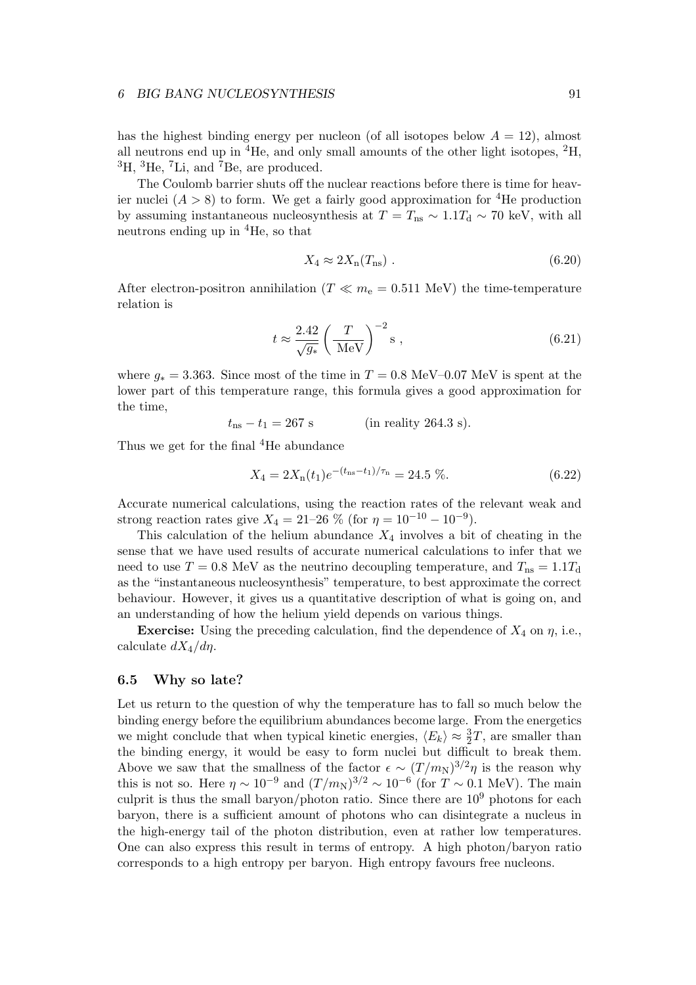#### 6 BIG BANG NUCLEOSYNTHESIS 91

has the highest binding energy per nucleon (of all isotopes below  $A = 12$ ), almost all neutrons end up in  ${}^{4}$ He, and only small amounts of the other light isotopes,  ${}^{2}$ H,  ${}^{3}$ H,  ${}^{3}$ He,  ${}^{7}$ Li, and  ${}^{7}$ Be, are produced.

The Coulomb barrier shuts off the nuclear reactions before there is time for heavier nuclei  $(A > 8)$  to form. We get a fairly good approximation for <sup>4</sup>He production by assuming instantaneous nucleosynthesis at  $T = T_{\text{ns}} \sim 1.1T_{\text{d}} \sim 70 \text{ keV}$ , with all neutrons ending up in <sup>4</sup>He, so that

$$
X_4 \approx 2X_n(T_{\text{ns}}) \tag{6.20}
$$

After electron-positron annihilation ( $T \ll m_e = 0.511$  MeV) the time-temperature relation is

$$
t \approx \frac{2.42}{\sqrt{g_*}} \left(\frac{T}{\text{MeV}}\right)^{-2} \text{s} ,\qquad (6.21)
$$

where  $g_* = 3.363$ . Since most of the time in  $T = 0.8$  MeV–0.07 MeV is spent at the lower part of this temperature range, this formula gives a good approximation for the time,

$$
t_{\rm ns} - t_1 = 267 \text{ s}
$$
 (in reality 264.3 s).

Thus we get for the final <sup>4</sup>He abundance

$$
X_4 = 2X_n(t_1)e^{-(t_{\text{ns}} - t_1)/\tau_n} = 24.5\,\,\%.\tag{6.22}
$$

Accurate numerical calculations, using the reaction rates of the relevant weak and strong reaction rates give  $X_4 = 21-26$  % (for  $\eta = 10^{-10} - 10^{-9}$ ).

This calculation of the helium abundance  $X_4$  involves a bit of cheating in the sense that we have used results of accurate numerical calculations to infer that we need to use  $T = 0.8$  MeV as the neutrino decoupling temperature, and  $T_{\text{ns}} = 1.1T_{\text{d}}$ as the "instantaneous nucleosynthesis" temperature, to best approximate the correct behaviour. However, it gives us a quantitative description of what is going on, and an understanding of how the helium yield depends on various things.

**Exercise:** Using the preceding calculation, find the dependence of  $X_4$  on  $\eta$ , i.e., calculate  $dX_4/d\eta$ .

## 6.5 Why so late?

Let us return to the question of why the temperature has to fall so much below the binding energy before the equilibrium abundances become large. From the energetics we might conclude that when typical kinetic energies,  $\langle E_k \rangle \approx \frac{3}{2}T$ , are smaller than the binding energy, it would be easy to form nuclei but difficult to break them. Above we saw that the smallness of the factor  $\epsilon \sim (T/m_N)^{3/2}\eta$  is the reason why this is not so. Here  $\eta \sim 10^{-9}$  and  $(T/m_N)^{3/2} \sim 10^{-6}$  (for  $T \sim 0.1$  MeV). The main culprit is thus the small baryon/photon ratio. Since there are  $10<sup>9</sup>$  photons for each baryon, there is a sufficient amount of photons who can disintegrate a nucleus in the high-energy tail of the photon distribution, even at rather low temperatures. One can also express this result in terms of entropy. A high photon/baryon ratio corresponds to a high entropy per baryon. High entropy favours free nucleons.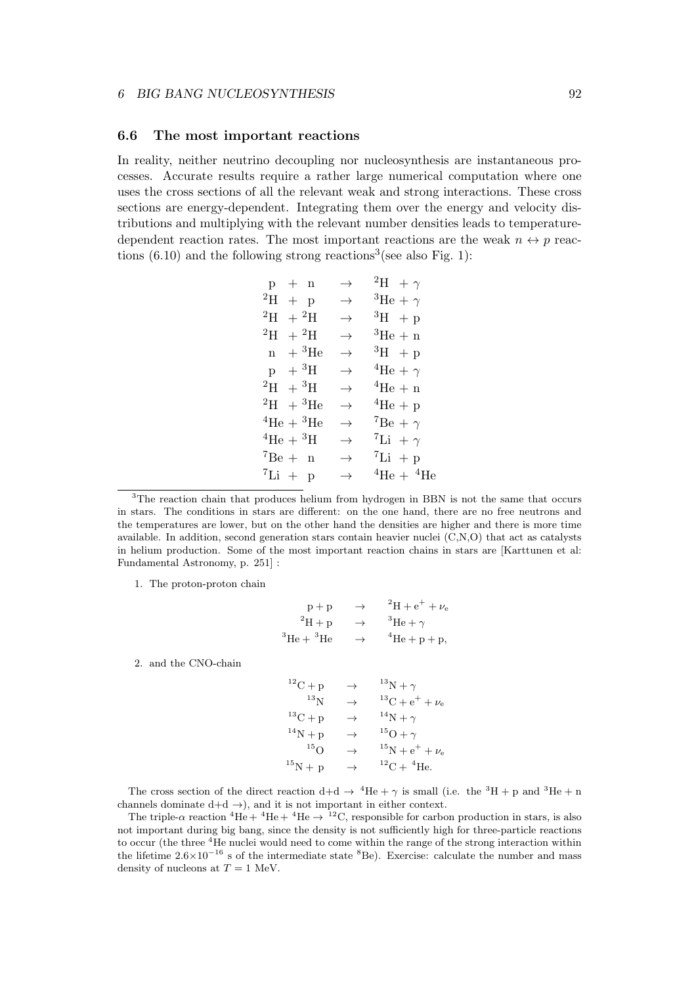#### 6.6 The most important reactions

In reality, neither neutrino decoupling nor nucleosynthesis are instantaneous processes. Accurate results require a rather large numerical computation where one uses the cross sections of all the relevant weak and strong interactions. These cross sections are energy-dependent. Integrating them over the energy and velocity distributions and multiplying with the relevant number densities leads to temperaturedependent reaction rates. The most important reactions are the weak  $n \leftrightarrow p$  reactions  $(6.10)$  and the following strong reactions<sup>3</sup> (see also Fig. 1):

| $p + n$                             |            | $\rightarrow$ | <sup>2</sup> H + $\gamma$           |
|-------------------------------------|------------|---------------|-------------------------------------|
| $^{2}H + p$                         |            | $\rightarrow$ | ${}^{3}\text{He} + \gamma$          |
| $^{2}H + ^{2}H$                     |            | $\rightarrow$ | $^3H + p$                           |
| $^2\mathrm{H}^-$                    | $+{}^{2}H$ | $\rightarrow$ | ${}^{3}$ He + n                     |
| $n + {}^{3}_{}He$                   |            | $\rightarrow$ | $^3H + p$                           |
| $p + {}^{3}H$                       |            | $\rightarrow$ | <sup>4</sup> He + $\gamma$          |
| $^{2}H + ^{3}H$                     |            | $\rightarrow$ | $4\text{He} + \text{n}$             |
| $^{2}H + ^{3}He$                    |            | $\rightarrow$ | ${}^4\text{He} + \text{p}$          |
| ${}^{4}\text{He} + {}^{3}\text{He}$ |            | $\rightarrow$ | $^7Be + \gamma$                     |
| ${}^4\text{He} + {}^3\text{H}$      |            | $\rightarrow$ | <sup>7</sup> Li + $\gamma$          |
| $^7Be + n$                          |            | $\rightarrow$ | ${}^{7}Li + p$                      |
| ${}^{7}Li + p$                      |            | $\rightarrow$ | ${}^{4}\text{He} + {}^{4}\text{He}$ |
|                                     |            |               |                                     |

<sup>3</sup>The reaction chain that produces helium from hydrogen in BBN is not the same that occurs in stars. The conditions in stars are different: on the one hand, there are no free neutrons and the temperatures are lower, but on the other hand the densities are higher and there is more time available. In addition, second generation stars contain heavier nuclei (C,N,O) that act as catalysts in helium production. Some of the most important reaction chains in stars are [Karttunen et al: Fundamental Astronomy, p. 251] :

1. The proton-proton chain

$$
p + p \rightarrow {}^{2}H + e^{+} + \nu_{e}
$$
  
\n
$$
{}^{2}H + p \rightarrow {}^{3}He + \gamma
$$
  
\n
$$
{}^{3}He + {}^{3}He \rightarrow {}^{4}He + p + p,
$$

2. and the CNO-chain

 ${}^{12}C + p \rightarrow {}^{13}N + \gamma$  $^{13}$ N  $\rightarrow$   $^{13}$ C + e<sup>+</sup> +  $\nu_e$  $^{13}C + p \rightarrow ^{14}N + \gamma$  ${}^{14}N + p \rightarrow {}^{15}O + \gamma$ <br> ${}^{15}O \rightarrow {}^{15}N + e^{-}$  $^{15}$ N +  $e^+$  +  $\nu_e$  $^{15}$ N + p  $\rightarrow$   $^{12}$ C +  $^{4}$ He.

The cross section of the direct reaction  $d+d \rightarrow {}^4He + \gamma$  is small (i.e. the  ${}^3H + p$  and  ${}^3He + n$ channels dominate  $d+d \rightarrow$ ), and it is not important in either context.

The triple- $\alpha$  reaction  ${}^{4}He + {}^{4}He + {}^{4}He \rightarrow {}^{12}C$ , responsible for carbon production in stars, is also not important during big bang, since the density is not sufficiently high for three-particle reactions to occur (the three <sup>4</sup>He nuclei would need to come within the range of the strong interaction within the lifetime  $2.6\times10^{-16}$  s of the intermediate state  ${}^{8}$ Be). Exercise: calculate the number and mass density of nucleons at  $T = 1$  MeV.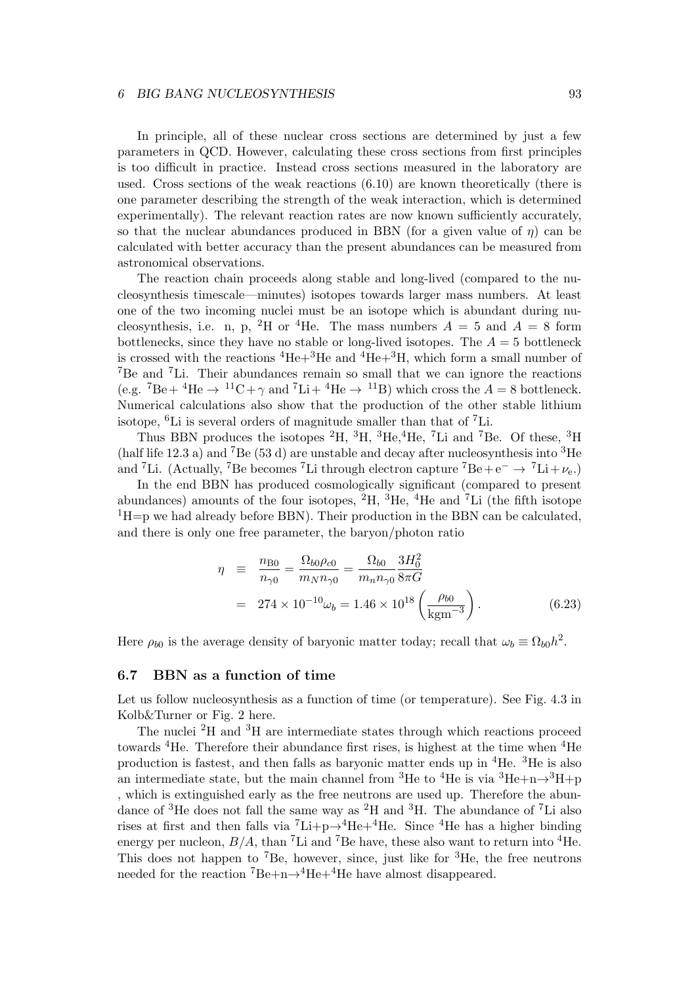#### 6 BIG BANG NUCLEOSYNTHESIS 93

In principle, all of these nuclear cross sections are determined by just a few parameters in QCD. However, calculating these cross sections from first principles is too difficult in practice. Instead cross sections measured in the laboratory are used. Cross sections of the weak reactions (6.10) are known theoretically (there is one parameter describing the strength of the weak interaction, which is determined experimentally). The relevant reaction rates are now known sufficiently accurately, so that the nuclear abundances produced in BBN (for a given value of  $\eta$ ) can be calculated with better accuracy than the present abundances can be measured from astronomical observations.

The reaction chain proceeds along stable and long-lived (compared to the nucleosynthesis timescale—minutes) isotopes towards larger mass numbers. At least one of the two incoming nuclei must be an isotope which is abundant during nucleosynthesis, i.e. n, p, <sup>2</sup>H or <sup>4</sup>He. The mass numbers  $A = 5$  and  $A = 8$  form bottlenecks, since they have no stable or long-lived isotopes. The  $A = 5$  bottleneck is crossed with the reactions  ${}^{4}$ He+ ${}^{3}$ He and  ${}^{4}$ He+ ${}^{3}$ H, which form a small number of <sup>7</sup>Be and <sup>7</sup>Li. Their abundances remain so small that we can ignore the reactions (e.g.  ${}^{7}Be+{}^{4}He \rightarrow {}^{11}C+\gamma$  and  ${}^{7}Li+{}^{4}He \rightarrow {}^{11}B$ ) which cross the  $A = 8$  bottleneck. Numerical calculations also show that the production of the other stable lithium isotope,  ${}^{6}$ Li is several orders of magnitude smaller than that of  ${}^{7}$ Li.

Thus BBN produces the isotopes  ${}^{2}H$ ,  ${}^{3}H$ ,  ${}^{3}He$ ,  ${}^{4}He$ ,  ${}^{7}Li$  and  ${}^{7}Be$ . Of these,  ${}^{3}H$ (half life 12.3 a) and <sup>7</sup>Be (53 d) are unstable and decay after nucleosynthesis into <sup>3</sup>He and <sup>7</sup>Li. (Actually, <sup>7</sup>Be becomes <sup>7</sup>Li through electron capture <sup>7</sup>Be + e<sup>-</sup>  $\rightarrow$  <sup>7</sup>Li +  $\nu_e$ .)

In the end BBN has produced cosmologically significant (compared to present abundances) amounts of the four isotopes,  ${}^{2}H$ ,  ${}^{3}He$ ,  ${}^{4}He$  and  ${}^{7}Li$  (the fifth isotope  ${}^{1}H=p$  we had already before BBN). Their production in the BBN can be calculated, and there is only one free parameter, the baryon/photon ratio

$$
\eta = \frac{n_{\text{B0}}}{n_{\gamma 0}} = \frac{\Omega_{b0} \rho_{c0}}{m_N n_{\gamma 0}} = \frac{\Omega_{b0}}{m_n n_{\gamma 0}} \frac{3H_0^2}{8\pi G}
$$
  
= 274 × 10<sup>-10</sup>  $\omega_b$  = 1.46 × 10<sup>18</sup>  $\left(\frac{\rho_{b0}}{\text{kgm}^{-3}}\right)$ . (6.23)

Here  $\rho_{b0}$  is the average density of baryonic matter today; recall that  $\omega_b \equiv \Omega_{b0}h^2$ .

## 6.7 BBN as a function of time

Let us follow nucleosynthesis as a function of time (or temperature). See Fig. 4.3 in Kolb&Turner or Fig. 2 here.

The nuclei  ${}^{2}$ H and  ${}^{3}$ H are intermediate states through which reactions proceed towards <sup>4</sup>He. Therefore their abundance first rises, is highest at the time when <sup>4</sup>He production is fastest, and then falls as baryonic matter ends up in <sup>4</sup>He. <sup>3</sup>He is also an intermediate state, but the main channel from <sup>3</sup>He to <sup>4</sup>He is via <sup>3</sup>He+n $\rightarrow$ <sup>3</sup>H+p , which is extinguished early as the free neutrons are used up. Therefore the abundance of <sup>3</sup>He does not fall the same way as <sup>2</sup>H and <sup>3</sup>H. The abundance of <sup>7</sup>Li also rises at first and then falls via  ${}^{7}\text{Li}+p\rightarrow {}^{4}\text{He}+{}^{4}\text{He}$ . Since  ${}^{4}\text{He}$  has a higher binding energy per nucleon,  $B/A$ , than <sup>7</sup>Li and <sup>7</sup>Be have, these also want to return into <sup>4</sup>He. This does not happen to <sup>7</sup>Be, however, since, just like for  ${}^{3}$ He, the free neutrons needed for the reaction  ${}^{7}Be+n\rightarrow {}^{4}He+{}^{4}He$  have almost disappeared.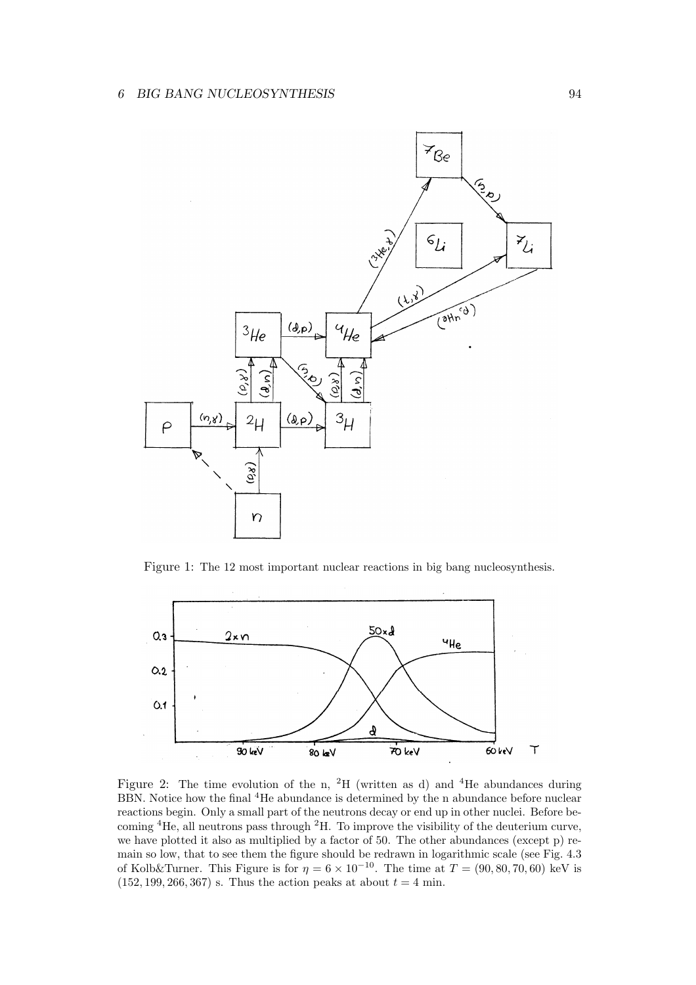

Figure 1: The 12 most important nuclear reactions in big bang nucleosynthesis.



Figure 2: The time evolution of the n, <sup>2</sup>H (written as d) and <sup>4</sup>He abundances during BBN. Notice how the final <sup>4</sup>He abundance is determined by the n abundance before nuclear reactions begin. Only a small part of the neutrons decay or end up in other nuclei. Before becoming <sup>4</sup>He, all neutrons pass through <sup>2</sup>H. To improve the visibility of the deuterium curve, we have plotted it also as multiplied by a factor of 50. The other abundances (except p) remain so low, that to see them the figure should be redrawn in logarithmic scale (see Fig. 4.3 of Kolb&Turner. This Figure is for  $\eta = 6 \times 10^{-10}$ . The time at  $T = (90, 80, 70, 60)$  keV is  $(152, 199, 266, 367)$  s. Thus the action peaks at about  $t = 4$  min.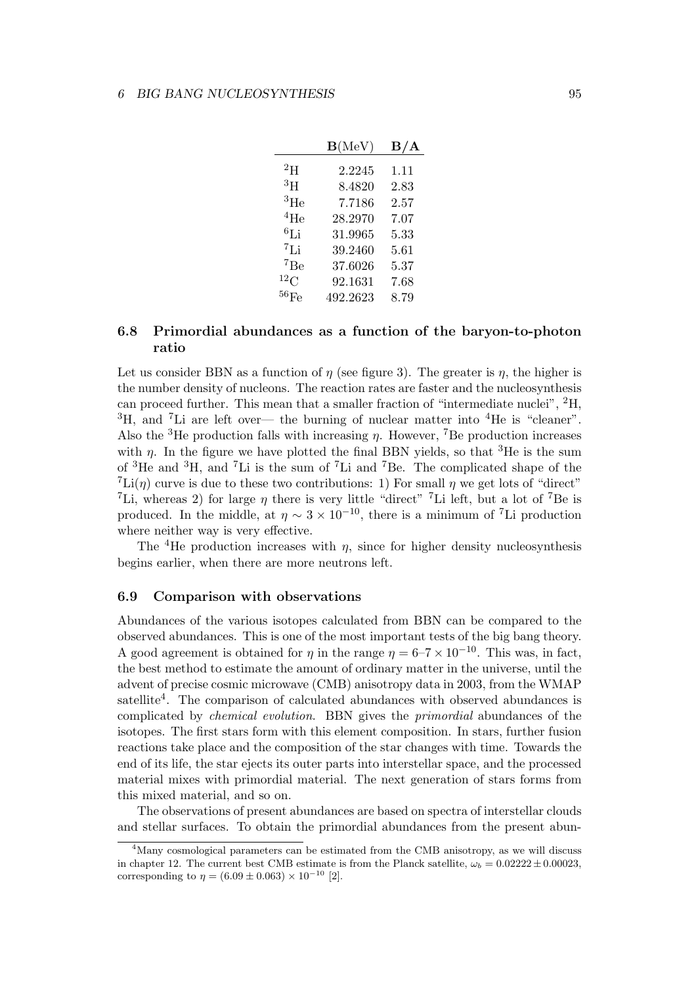|                    | $\mathbf{B}(\text{MeV})$ | $\rm B/A$ |
|--------------------|--------------------------|-----------|
| $^{2}$ H           | 2.2245                   | 1.11      |
| $^3\mathrm{H}$     | 8.4820                   | 2.83      |
| ${}^{3}$ He        | 7.7186                   | 2.57      |
| $^{4}$ He          | 28.2970                  | 7.07      |
| $^6$ Li            | 31.9965                  | 5.33      |
| 7Li                | 39.2460                  | 5.61      |
| 7Be                | 37.6026                  | 5.37      |
| $^{12}$ C          | 92.1631                  | 7.68      |
| $^{56}\mathrm{Fe}$ | 492.2623                 | 8.79      |
|                    |                          |           |

## 6.8 Primordial abundances as a function of the baryon-to-photon ratio

Let us consider BBN as a function of  $\eta$  (see figure 3). The greater is  $\eta$ , the higher is the number density of nucleons. The reaction rates are faster and the nucleosynthesis can proceed further. This mean that a smaller fraction of "intermediate nuclei", <sup>2</sup>H,  ${}^{3}$ H, and <sup>7</sup>Li are left over— the burning of nuclear matter into  ${}^{4}$ He is "cleaner". Also the <sup>3</sup>He production falls with increasing  $\eta$ . However, <sup>7</sup>Be production increases with  $\eta$ . In the figure we have plotted the final BBN yields, so that <sup>3</sup>He is the sum of <sup>3</sup>He and <sup>3</sup>H, and <sup>7</sup>Li is the sum of <sup>7</sup>Li and <sup>7</sup>Be. The complicated shape of the  ${}^{7}$ Li( $\eta$ ) curve is due to these two contributions: 1) For small  $\eta$  we get lots of "direct" <sup>7</sup>Li, whereas 2) for large  $\eta$  there is very little "direct" <sup>7</sup>Li left, but a lot of <sup>7</sup>Be is produced. In the middle, at  $\eta \sim 3 \times 10^{-10}$ , there is a minimum of <sup>7</sup>Li production where neither way is very effective.

The <sup>4</sup>He production increases with  $\eta$ , since for higher density nucleosynthesis begins earlier, when there are more neutrons left.

## 6.9 Comparison with observations

Abundances of the various isotopes calculated from BBN can be compared to the observed abundances. This is one of the most important tests of the big bang theory. A good agreement is obtained for  $\eta$  in the range  $\eta = 6$ –7 × 10<sup>-10</sup>. This was, in fact, the best method to estimate the amount of ordinary matter in the universe, until the advent of precise cosmic microwave (CMB) anisotropy data in 2003, from the WMAP satellite<sup>4</sup>. The comparison of calculated abundances with observed abundances is complicated by chemical evolution. BBN gives the primordial abundances of the isotopes. The first stars form with this element composition. In stars, further fusion reactions take place and the composition of the star changes with time. Towards the end of its life, the star ejects its outer parts into interstellar space, and the processed material mixes with primordial material. The next generation of stars forms from this mixed material, and so on.

The observations of present abundances are based on spectra of interstellar clouds and stellar surfaces. To obtain the primordial abundances from the present abun-

<sup>&</sup>lt;sup>4</sup>Many cosmological parameters can be estimated from the CMB anisotropy, as we will discuss in chapter 12. The current best CMB estimate is from the Planck satellite,  $\omega_b = 0.02222 \pm 0.00023$ , corresponding to  $\eta = (6.09 \pm 0.063) \times 10^{-10}$  [2].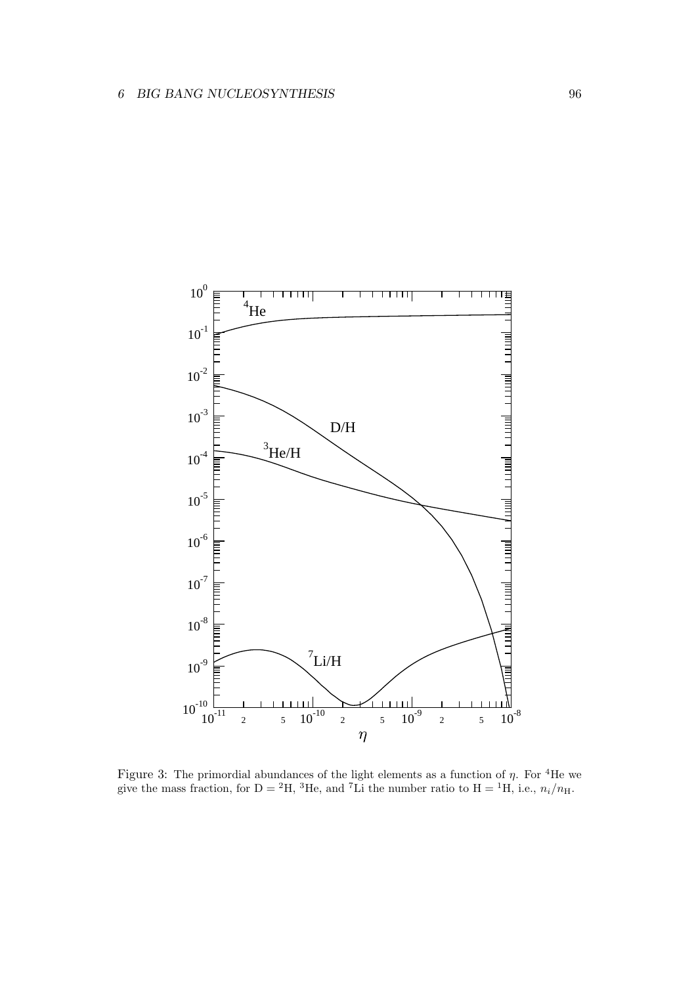

Figure 3: The primordial abundances of the light elements as a function of  $\eta$ . For <sup>4</sup>He we give the mass fraction, for D = <sup>2</sup>H, <sup>3</sup>He, and <sup>7</sup>Li the number ratio to H = <sup>1</sup>H, i.e.,  $n_i/n_H$ .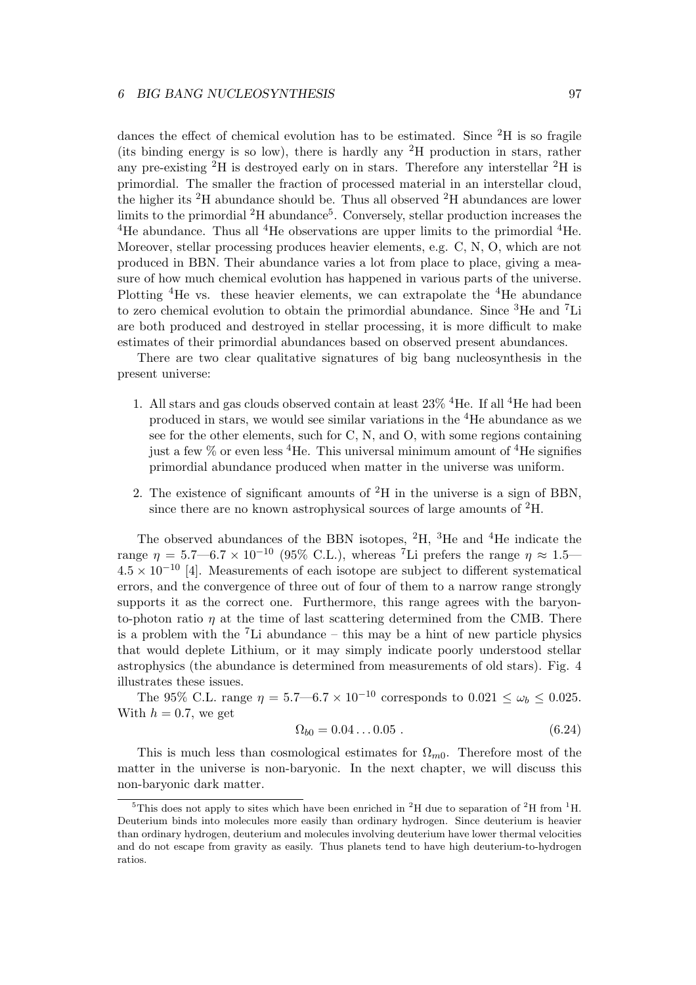dances the effect of chemical evolution has to be estimated. Since  ${}^{2}H$  is so fragile (its binding energy is so low), there is hardly any  ${}^{2}H$  production in stars, rather any pre-existing <sup>2</sup>H is destroyed early on in stars. Therefore any interstellar <sup>2</sup>H is primordial. The smaller the fraction of processed material in an interstellar cloud, the higher its <sup>2</sup>H abundance should be. Thus all observed <sup>2</sup>H abundances are lower limits to the primordial <sup>2</sup>H abundance<sup>5</sup>. Conversely, stellar production increases the <sup>4</sup>He abundance. Thus all <sup>4</sup>He observations are upper limits to the primordial  ${}^{4}$ He. Moreover, stellar processing produces heavier elements, e.g. C, N, O, which are not produced in BBN. Their abundance varies a lot from place to place, giving a measure of how much chemical evolution has happened in various parts of the universe. Plotting <sup>4</sup>He vs. these heavier elements, we can extrapolate the <sup>4</sup>He abundance to zero chemical evolution to obtain the primordial abundance. Since <sup>3</sup>He and <sup>7</sup>Li are both produced and destroyed in stellar processing, it is more difficult to make estimates of their primordial abundances based on observed present abundances.

There are two clear qualitative signatures of big bang nucleosynthesis in the present universe:

- 1. All stars and gas clouds observed contain at least  $23\%$  <sup>4</sup>He. If all <sup>4</sup>He had been produced in stars, we would see similar variations in the <sup>4</sup>He abundance as we see for the other elements, such for C, N, and O, with some regions containing just a few  $\%$  or even less <sup>4</sup>He. This universal minimum amount of <sup>4</sup>He signifies primordial abundance produced when matter in the universe was uniform.
- 2. The existence of significant amounts of  ${}^{2}H$  in the universe is a sign of BBN, since there are no known astrophysical sources of large amounts of  ${}^{2}H$ .

The observed abundances of the BBN isotopes,  ${}^{2}H$ ,  ${}^{3}He$  and  ${}^{4}He$  indicate the range  $\eta = 5.7 \text{---} 6.7 \times 10^{-10}$  (95% C.L.), whereas <sup>7</sup>Li prefers the range  $\eta \approx 1.5$ —  $4.5 \times 10^{-10}$  [4]. Measurements of each isotope are subject to different systematical errors, and the convergence of three out of four of them to a narrow range strongly supports it as the correct one. Furthermore, this range agrees with the baryonto-photon ratio  $\eta$  at the time of last scattering determined from the CMB. There is a problem with the  ${}^{7}$ Li abundance – this may be a hint of new particle physics that would deplete Lithium, or it may simply indicate poorly understood stellar astrophysics (the abundance is determined from measurements of old stars). Fig. 4 illustrates these issues.

The 95% C.L. range  $\eta = 5.7 - 6.7 \times 10^{-10}$  corresponds to  $0.021 \le \omega_b \le 0.025$ . With  $h = 0.7$ , we get

$$
\Omega_{b0} = 0.04 \dots 0.05 \tag{6.24}
$$

This is much less than cosmological estimates for  $\Omega_{m0}$ . Therefore most of the matter in the universe is non-baryonic. In the next chapter, we will discuss this non-baryonic dark matter.

<sup>&</sup>lt;sup>5</sup>This does not apply to sites which have been enriched in <sup>2</sup>H due to separation of <sup>2</sup>H from <sup>1</sup>H. Deuterium binds into molecules more easily than ordinary hydrogen. Since deuterium is heavier than ordinary hydrogen, deuterium and molecules involving deuterium have lower thermal velocities and do not escape from gravity as easily. Thus planets tend to have high deuterium-to-hydrogen ratios.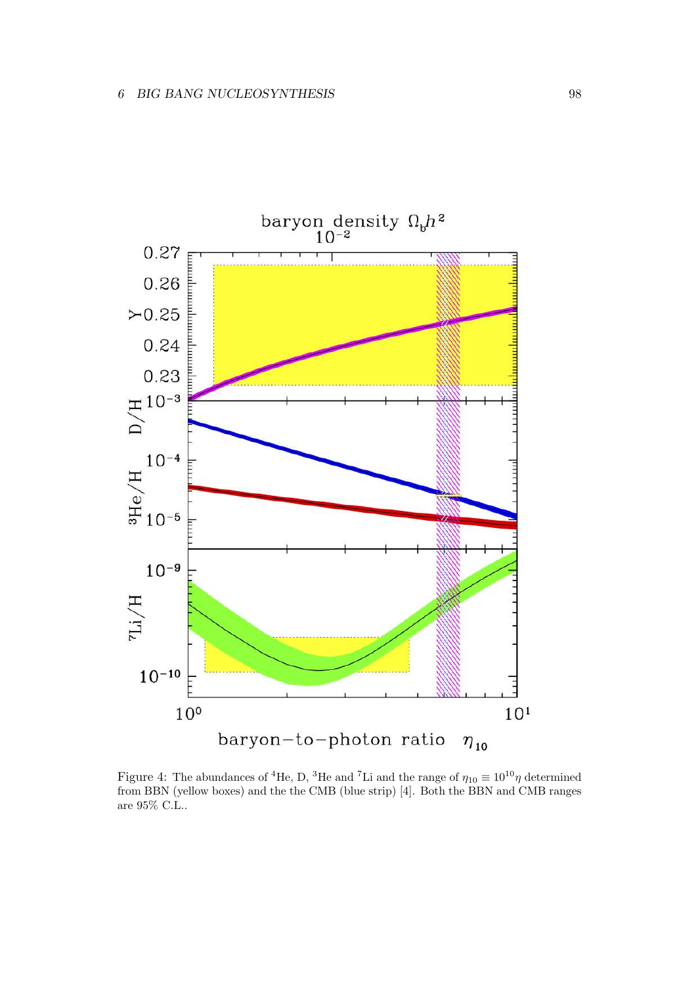

Figure 4: The abundances of <sup>4</sup>He, D, <sup>3</sup>He and <sup>7</sup>Li and the range of  $\eta_{10} \equiv 10^{10} \eta$  determined from BBN (yellow boxes) and the the CMB (blue strip) [4]. Both the BBN and CMB ranges are 95% C.L..